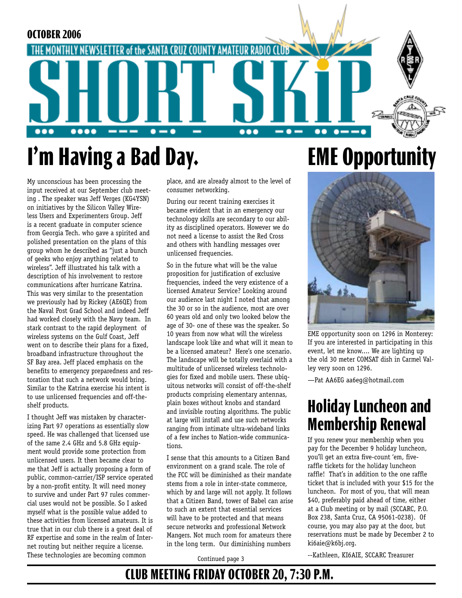

# **I'm Having a Bad Day. EME Opportunity**

My unconscious has been processing the input received at our September club meeting . The speaker was Jeff Verges (KG4YSN) on initiatives by the Silicon Valley Wireless Users and Experimenters Group. Jeff is a recent graduate in computer science from Georgia Tech. who gave a spirited and polished presentation on the plans of this group whom he described as "just a bunch of geeks who enjoy anything related to wireless". Jeff illustrated his talk with a description of his involvement to restore communications after hurricane Katrina. This was very similar to the presentation we previously had by Rickey (AE6QE) from the Naval Post Grad School and indeed Jeff had worked closely with the Navy team. In stark contrast to the rapid deployment of wireless systems on the Gulf Coast, Jeff went on to describe their plans for a fixed, broadband infrastructure throughout the SF Bay area. Jeff placed emphasis on the benefits to emergency preparedness and restoration that such a network would bring. Similar to the Katrina exercise his intent is to use unlicensed frequencies and off-theshelf products.

I thought Jeff was mistaken by characterizing Part 97 operations as essentially slow speed. He was challenged that licensed use of the same 2.4 GHz and 5.8 GHz equipment would provide some protection from unlicensed users. It then became clear to me that Jeff is actually proposing a form of public, common-carrier/ISP service operated by a non-profit entity. It will need money to survive and under Part 97 rules commercial uses would not be possible. So I asked myself what is the possible value added to these activities from licensed amateurs. It is true that in our club there is a great deal of RF expertise and some in the realm of Internet routing but neither require a license. These technologies are becoming common

place, and are already almost to the level of consumer networking.

During our recent training exercises it became evident that in an emergency our technology skills are secondary to our ability as disciplined operators. However we do not need a license to assist the Red Cross and others with handling messages over unlicensed frequencies.

So in the future what will be the value proposition for justification of exclusive frequencies, indeed the very existence of a licensed Amateur Service? Looking around our audience last night I noted that among the 30 or so in the audience, most are over 60 years old and only two looked below the age of 30- one of these was the speaker. So 10 years from now what will the wireless landscape look like and what will it mean to be a licensed amateur? Here's one scenario. The landscape will be totally overlaid with a multitude of unlicensed wireless technologies for fixed and mobile users. These ubiquitous networks will consist of off-the-shelf products comprising elementary antennas, plain boxes without knobs and standard and invisible routing algorithms. The public at large will install and use such networks ranging from intimate ultra-wideband links of a few inches to Nation-wide communications.

I sense that this amounts to a Citizen Band environment on a grand scale. The role of the FCC will be diminished as their mandate stems from a role in inter-state commerce, which by and large will not apply. It follows that a Citizen Band, tower of Babel can arise to such an extent that essential services will have to be protected and that means secure networks and professional Network Mangers. Not much room for amateurs there in the long term. Our diminishing numbers



EME opportunity soon on 1296 in Monterey: If you are interested in participating in this event, let me know.... We are lighting up the old 30 meter COMSAT dish in Carmel Valley very soon on 1296.

—Pat AA6EG aa6eg@hotmail.com

## **Holiday Luncheon and Membership Renewal**

If you renew your membership when you pay for the December 9 holiday luncheon, you'll get an extra five-count 'em, fiveraffle tickets for the holiday luncheon raffle! That's in addition to the one raffle ticket that is included with your \$15 for the luncheon. For most of you, that will mean \$40, preferably paid ahead of time, either at a Club meeting or by mail (SCCARC, P.O. Box 238, Santa Cruz, CA 95061-0238). Of course, you may also pay at the door, but reservations must be made by December 2 to ki6aie@k6bj.org.

Continued page 3

--Kathleen, KI6AIE, SCCARC Treasurer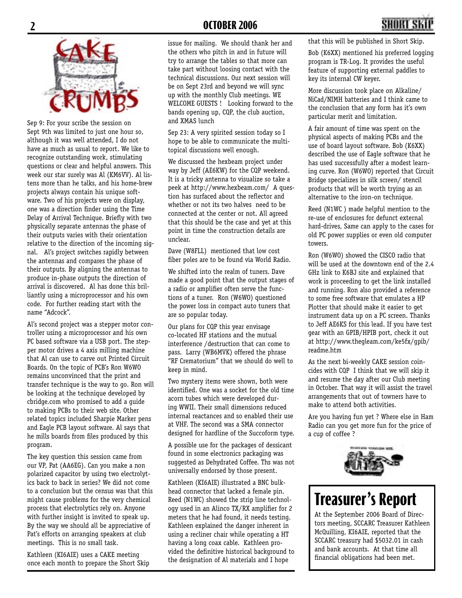Sep 9: For your scribe the session on Sept 9th was limited to just one hour so, although it was well attended, I do not have as much as usual to report. We like to recognize outstanding work, stimulating questions or clear and helpful answers. This week our star surely was Al (KM6VV). Al listens more than he talks, and his home-brew projects always contain his unique software. Two of his projects were on display, one was a direction finder using the Time Delay of Arrival Technique. Briefly with two physically separate antennas the phase of their outputs varies with their orientation relative to the direction of the incoming signal. Al's project switches rapidly between the antennas and compares the phase of their outputs. By aligning the antennas to produce in-phase outputs the direction of arrival is discovered. Al has done this brilliantly using a microprocessor and his own code. For further reading start with the name "Adcock".

Al's second project was a stepper motor controller using a microprocessor and his own PC based software via a USB port. The stepper motor drives a 4 axis milling machine that Al can use to carve out Printed Circuit Boards. On the topic of PCB's Ron W6WO remains unconvinced that the print and transfer technique is the way to go. Ron will be looking at the technique developed by cbridge.com who promised to add a guide to making PCBs to their web site. Other related topics included Sharpie Marker pens and Eagle PCB layout software. Al says that he mills boards from files produced by this program.

The key question this session came from our VP, Pat (AA6EG). Can you make a non polarized capacitor by using two electrolytics back to back in series? We did not come to a conclusion but the census was that this might cause problems for the very chemical process that electrolytics rely on. Anyone with further insight is invited to speak up. By the way we should all be appreciative of Pat's efforts on arranging speakers at club meetings. This is no small task.

Kathleen (KI6AIE) uses a CAKE meeting once each month to prepare the Short Skip

issue for mailing. We should thank her and the others who pitch in and in future will try to arrange the tables so that more can take part without loosing contact with the technical discussions. Our next session will be on Sept 23rd and beyond we will sync up with the monthly Club meetings. WE WELCOME GUESTS ! Looking forward to the bands opening up, CQP, the club auction, and XMAS lunch

Sep 23: A very spirited session today so I hope to be able to communicate the multitopical discussions well enough.

We discussed the hexbeam project under way by Jeff (AE6KW) for the CQP weekend. It is a tricky antenna to visualize so take a peek at http://www.hexbeam.com/ A question has surfaced about the reflector and whether or not its two halves need to be connected at the center or not. All agreed that this should be the case and yet at this point in time the construction details are unclear.

Dave (W8FLL) mentioned that low cost fiber poles are to be found via World Radio.

We shifted into the realm of tuners. Dave made a good point that the output stages of a radio or amplifier often serve the functions of a tuner. Ron (W6WO) questioned the power loss in compact auto tuners that are so popular today.

Our plans for CQP this year envisage co-located HF stations and the mutual interference /destruction that can come to pass. Larry (WB6MVK) offered the phrase "RF Crematorium" that we should do well to keep in mind.

Two mystery items were shown, both were identified. One was a socket for the old time acorn tubes which were developed during WWII. Their small dimensions reduced internal reactances and so enabled their use at VHF. The second was a SMA connector designed for hardline of the Succoform type.

A possible use for the packages of dessicant found in some electronics packaging was suggested as Dehydrated Coffee. Ths was not universally endorsed by those present.

Kathleen (KI6AIE) illustrated a BNC bulkhead connector that lacked a female pin. Reed (N1WC) showed the strip line technology used in an Alinco TX/RX amplifier for 2 meters that he had found, it needs testing. Kathleen explained the danger inherent in using a recliner chair while operating a HT having a long coax cable. Kathleen provided the definitive historical background to the designation of Al materials and I hope

that this will be published in Short Skip.

Bob (K6XX) mentioned his preferred logging program is TR-Log. It provides the useful feature of supporting external paddles to key its internal CW keyer.

More discussion took place on Alkaline/ NiCad/NIMH batteries and I think came to the conclusion that any form has it's own particular merit and limitation.

A fair amount of time was spent on the physical aspects of making PCBs and the use of board layout software. Bob (K6XX) described the use of Eagle software that he has used successfully after a modest learning curve. Ron (W6WO) reported that Circuit Bridge specializes in silk screen/ stencil products that will be worth trying as an alternative to the iron-on technique.

Reed (N1WC ) made helpful mention to the re-use of enclosures for defunct external hard-drives, Same can apply to the cases for old PC power supplies or even old computer towers.

Ron (W6WO) showed the CISCO radio that will be used at the downtown end of the 2.4 GHz link to K6BJ site and explained that work is proceeding to get the link installed and running. Ron also provided a reference to some free software that emulates a HP Plotter that should make it easier to get instrument data up on a PC screen. Thanks to Jeff AE6KS for this lead. If you have test gear with an GPIB/HPIB port, check it out at http://www.thegleam.com/ke5fx/gpib/ readme.htm

As the next bi-weekly CAKE session coincides with CQP I think that we will skip it and resume the day after our Club meeting in October. That way it will assist the travel arrangements that out of towners have to make to attend both activities.

Are you having fun yet ? Where else in Ham Radio can you get more fun for the price of a cup of coffee ?



# **Treasurer's Report**

At the September 2006 Board of Directors meeting, SCCARC Treasurer Kathleen McQuilling, KI6AIE, reported that the SCCARC treasury had \$5032.01 in cash and bank accounts. At that time all financial obligations had been met.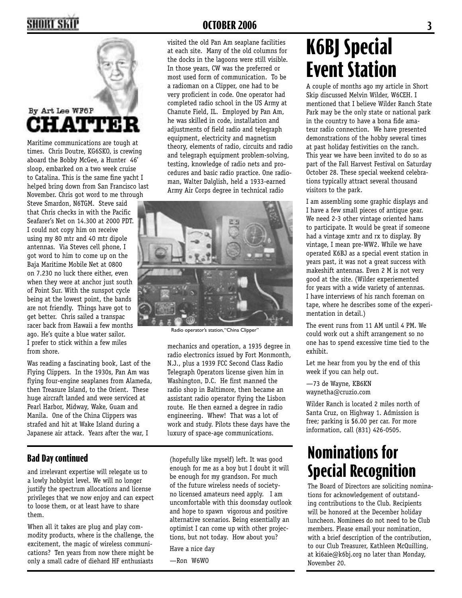## **2 OCTOBER 2006 3**



### By Art Lee WF6P HATTIE.

Maritime communications are tough at times. Chris Doutre, KG6SKO, is crewing aboard the Bobby McGee, a Hunter 46' sloop, embarked on a two week cruise to Catalina. This is the same fine yacht I helped bring down from San Francisco last November. Chris got word to me through

Steve Smardon, N6TGM. Steve said that Chris checks in with the Pacific Seafarer's Net on 14.300 at 2000 PDT. I could not copy him on receive using my 80 mtr and 40 mtr dipole antennas. Via Steves cell phone, I got word to him to come up on the Baja Maritime Mobile Net at 0800 on 7.230 no luck there either, even when they were at anchor just south of Point Sur. With the sunspot cycle being at the lowest point, the bands are not friendly. Things have got to get better. Chris sailed a transpac racer back from Hawaii a few months ago. He's quite a blue water sailor. I prefer to stick within a few miles from shore.

Was reading a fascinating book, Last of the Flying Clippers. In the 1930s, Pan Am was flying four-engine seaplanes from Alameda, then Treasure Island, to the Orient. These huge aircraft landed and were serviced at Pearl Harbor, Midway, Wake, Guam and Manila. One of the China Clippers was strafed and hit at Wake Island during a Japanese air attack. Years after the war, I

### **Bad Day continued**

and irrelevant expertise will relegate us to a lowly hobbyist level. We will no longer justify the spectrum allocations and license privileges that we now enjoy and can expect to loose them, or at least have to share them.

When all it takes are plug and play commodity products, where is the challenge, the excitement, the magic of wireless communications? Ten years from now there might be only a small cadre of diehard HF enthusiasts

visited the old Pan Am seaplane facilities at each site. Many of the old columns for the docks in the lagoons were still visible. In those years, CW was the preferred or most used form of communication. To be a radioman on a Clipper, one had to be very proficient in code. One operator had completed radio school in the US Army at Chanute Field, IL. Employed by Pan Am, he was skilled in code, installation and adjustments of field radio and telegraph equipment, electricity and magnetism theory, elements of radio, circuits and radio and telegraph equipment problem-solving, testing, knowledge of radio nets and procedures and basic radio practice. One radioman, Walter Dalglish, held a 1933-earned Army Air Corps degree in technical radio



Radio operator's station, "China Clipper"

mechanics and operation, a 1935 degree in radio electronics issued by Fort Monmonth, N.J., plus a 1939 FCC Second Class Radio Telegraph Operators license given him in Washington, D.C. He first manned the radio shop in Baltimore, then became an assistant radio operator flying the Lisbon route. He then earned a degree in radio engineering. Whew! That was a lot of work and study. Pilots these days have the luxury of space-age communications.

(hopefully like myself) left. It was good enough for me as a boy but I doubt it will be enough for my grandson. For much of the future wireless needs of societyno licensed amateurs need apply. I am uncomfortable with this doomsday outlook and hope to spawn vigorous and positive alternative scenarios. Being essentially an optimist I can come up with other projections, but not today. How about you?

Have a nice day

—Ron W6WO

# **K6BJ Special Event Station**

A couple of months ago my article in Short Skip discussed Melvin Wilder, W6CEH. I mentioned that I believe Wilder Ranch State Park may be the only state or national park in the country to have a bona fide amateur radio connection. We have presented demonstrations of the hobby several times at past holiday festivities on the ranch. This year we have been invited to do so as part of the Fall Harvest Festival on Saturday October 28. These special weekend celebrations typically attract several thousand visitors to the park.

I am assembling some graphic displays and I have a few small pieces of antique gear. We need 2-3 other vintage oriented hams to participate. It would be great if someone had a vintage xmtr and rx to display. By vintage, I mean pre-WW2. While we have operated K6BJ as a special event station in years past, it was not a great success with makeshift antennas. Even 2 M is not very good at the site. (Wilder experiemented for years with a wide variety of antennas. I have interviews of his ranch foreman on tape, where he describes some of the experimentation in detail.)

The event runs from 11 AM until 4 PM. We could work out a shift arrangement so no one has to spend excessive time tied to the exhibit.

Let me hear from you by the end of this week if you can help out.

—73 de Wayne, KB6KN waynetha@cruzio.com

Wilder Ranch is located 2 miles north of Santa Cruz, on Highway 1. Admission is free; parking is \$6.00 per car. For more information, call (831) 426-0505.

## **Nominations for Special Recognition**

The Board of Directors are soliciting nominations for acknowledgement of outstanding contributions to the Club. Recipients will be honored at the December holiday luncheon. Nominees do not need to be Club members. Please email your nomination, with a brief description of the contribution, to our Club Treasurer, Kathleen McQuilling, at ki6aie@k6bj.org no later than Monday, November 20.